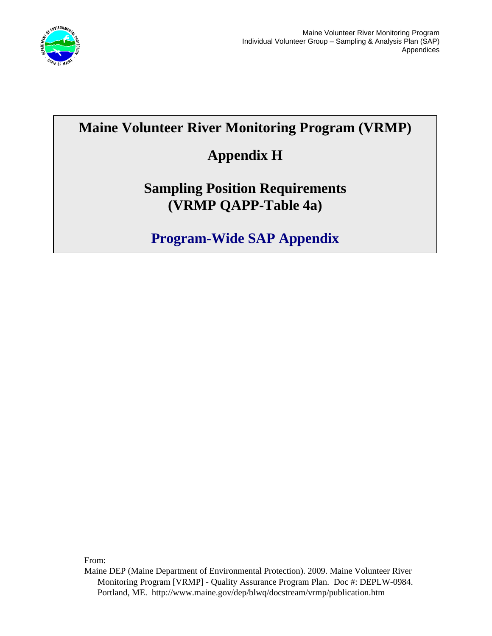

## **Maine Volunteer River Monitoring Program (VRMP)**

## **Appendix H**

## **Sampling Position Requirements (VRMP QAPP-Table 4a)**

**Program-Wide SAP Appendix** 

From:

Maine DEP (Maine Department of Environmental Protection). 2009. Maine Volunteer River Monitoring Program [VRMP] - Quality Assurance Program Plan. Doc #: DEPLW-0984. Portland, ME. http://www.maine.gov/dep/blwq/docstream/vrmp/publication.htm